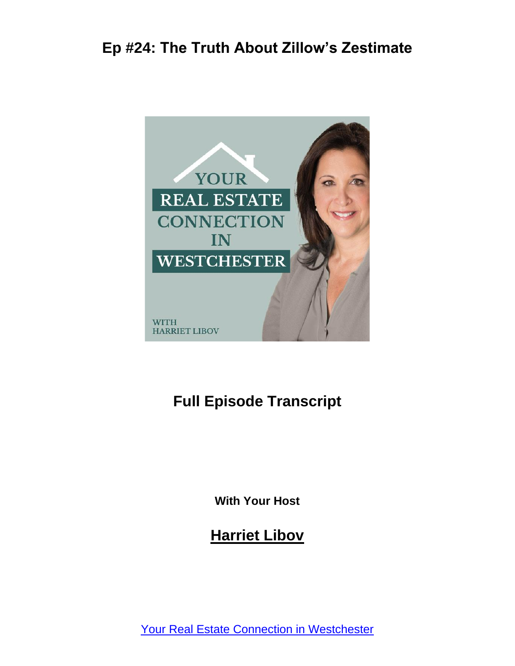

#### **Full Episode Transcript**

**With Your Host**

**Harriet Libov**

[Your Real Estate Connection in Westchester](https://connectnorthofnyc.com/podcast)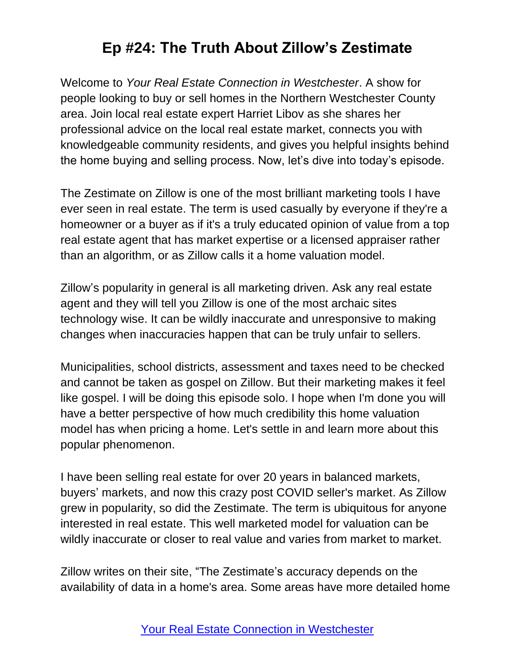Welcome to *Your Real Estate Connection in Westchester*. A show for people looking to buy or sell homes in the Northern Westchester County area. Join local real estate expert Harriet Libov as she shares her professional advice on the local real estate market, connects you with knowledgeable community residents, and gives you helpful insights behind the home buying and selling process. Now, let's dive into today's episode.

The Zestimate on Zillow is one of the most brilliant marketing tools I have ever seen in real estate. The term is used casually by everyone if they're a homeowner or a buyer as if it's a truly educated opinion of value from a top real estate agent that has market expertise or a licensed appraiser rather than an algorithm, or as Zillow calls it a home valuation model.

Zillow's popularity in general is all marketing driven. Ask any real estate agent and they will tell you Zillow is one of the most archaic sites technology wise. It can be wildly inaccurate and unresponsive to making changes when inaccuracies happen that can be truly unfair to sellers.

Municipalities, school districts, assessment and taxes need to be checked and cannot be taken as gospel on Zillow. But their marketing makes it feel like gospel. I will be doing this episode solo. I hope when I'm done you will have a better perspective of how much credibility this home valuation model has when pricing a home. Let's settle in and learn more about this popular phenomenon.

I have been selling real estate for over 20 years in balanced markets, buyers' markets, and now this crazy post COVID seller's market. As Zillow grew in popularity, so did the Zestimate. The term is ubiquitous for anyone interested in real estate. This well marketed model for valuation can be wildly inaccurate or closer to real value and varies from market to market.

Zillow writes on their site, "The Zestimate's accuracy depends on the availability of data in a home's area. Some areas have more detailed home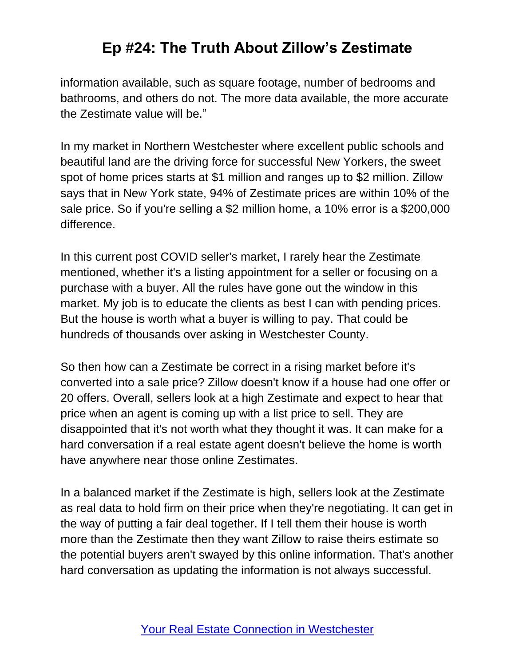information available, such as square footage, number of bedrooms and bathrooms, and others do not. The more data available, the more accurate the Zestimate value will be."

In my market in Northern Westchester where excellent public schools and beautiful land are the driving force for successful New Yorkers, the sweet spot of home prices starts at \$1 million and ranges up to \$2 million. Zillow says that in New York state, 94% of Zestimate prices are within 10% of the sale price. So if you're selling a \$2 million home, a 10% error is a \$200,000 difference.

In this current post COVID seller's market, I rarely hear the Zestimate mentioned, whether it's a listing appointment for a seller or focusing on a purchase with a buyer. All the rules have gone out the window in this market. My job is to educate the clients as best I can with pending prices. But the house is worth what a buyer is willing to pay. That could be hundreds of thousands over asking in Westchester County.

So then how can a Zestimate be correct in a rising market before it's converted into a sale price? Zillow doesn't know if a house had one offer or 20 offers. Overall, sellers look at a high Zestimate and expect to hear that price when an agent is coming up with a list price to sell. They are disappointed that it's not worth what they thought it was. It can make for a hard conversation if a real estate agent doesn't believe the home is worth have anywhere near those online Zestimates.

In a balanced market if the Zestimate is high, sellers look at the Zestimate as real data to hold firm on their price when they're negotiating. It can get in the way of putting a fair deal together. If I tell them their house is worth more than the Zestimate then they want Zillow to raise theirs estimate so the potential buyers aren't swayed by this online information. That's another hard conversation as updating the information is not always successful.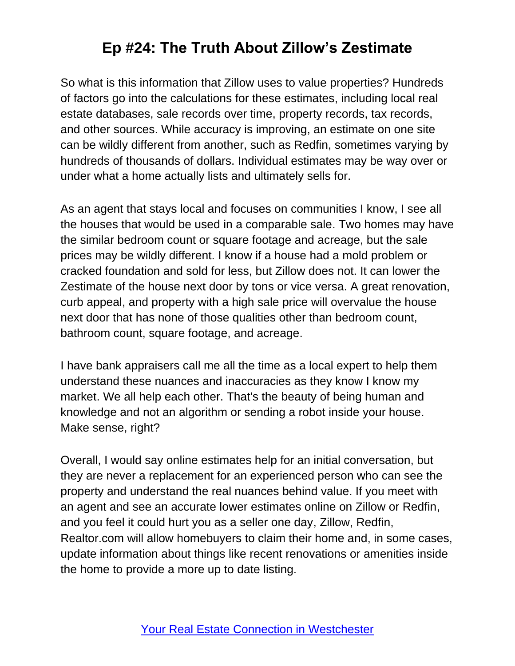So what is this information that Zillow uses to value properties? Hundreds of factors go into the calculations for these estimates, including local real estate databases, sale records over time, property records, tax records, and other sources. While accuracy is improving, an estimate on one site can be wildly different from another, such as Redfin, sometimes varying by hundreds of thousands of dollars. Individual estimates may be way over or under what a home actually lists and ultimately sells for.

As an agent that stays local and focuses on communities I know, I see all the houses that would be used in a comparable sale. Two homes may have the similar bedroom count or square footage and acreage, but the sale prices may be wildly different. I know if a house had a mold problem or cracked foundation and sold for less, but Zillow does not. It can lower the Zestimate of the house next door by tons or vice versa. A great renovation, curb appeal, and property with a high sale price will overvalue the house next door that has none of those qualities other than bedroom count, bathroom count, square footage, and acreage.

I have bank appraisers call me all the time as a local expert to help them understand these nuances and inaccuracies as they know I know my market. We all help each other. That's the beauty of being human and knowledge and not an algorithm or sending a robot inside your house. Make sense, right?

Overall, I would say online estimates help for an initial conversation, but they are never a replacement for an experienced person who can see the property and understand the real nuances behind value. If you meet with an agent and see an accurate lower estimates online on Zillow or Redfin, and you feel it could hurt you as a seller one day, Zillow, Redfin, Realtor.com will allow homebuyers to claim their home and, in some cases, update information about things like recent renovations or amenities inside the home to provide a more up to date listing.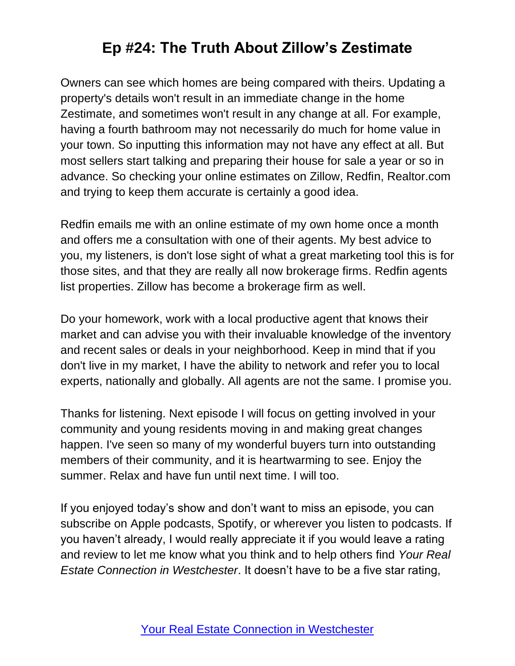Owners can see which homes are being compared with theirs. Updating a property's details won't result in an immediate change in the home Zestimate, and sometimes won't result in any change at all. For example, having a fourth bathroom may not necessarily do much for home value in your town. So inputting this information may not have any effect at all. But most sellers start talking and preparing their house for sale a year or so in advance. So checking your online estimates on Zillow, Redfin, Realtor.com and trying to keep them accurate is certainly a good idea.

Redfin emails me with an online estimate of my own home once a month and offers me a consultation with one of their agents. My best advice to you, my listeners, is don't lose sight of what a great marketing tool this is for those sites, and that they are really all now brokerage firms. Redfin agents list properties. Zillow has become a brokerage firm as well.

Do your homework, work with a local productive agent that knows their market and can advise you with their invaluable knowledge of the inventory and recent sales or deals in your neighborhood. Keep in mind that if you don't live in my market, I have the ability to network and refer you to local experts, nationally and globally. All agents are not the same. I promise you.

Thanks for listening. Next episode I will focus on getting involved in your community and young residents moving in and making great changes happen. I've seen so many of my wonderful buyers turn into outstanding members of their community, and it is heartwarming to see. Enjoy the summer. Relax and have fun until next time. I will too.

If you enjoyed today's show and don't want to miss an episode, you can subscribe on Apple podcasts, Spotify, or wherever you listen to podcasts. If you haven't already, I would really appreciate it if you would leave a rating and review to let me know what you think and to help others find *Your Real Estate Connection in Westchester*. It doesn't have to be a five star rating,